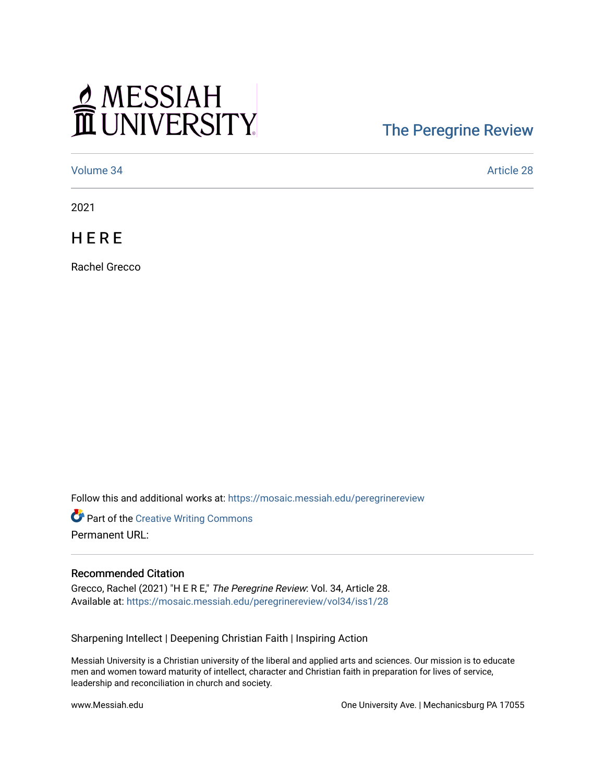## MESSIAH

## [The Peregrine Review](https://mosaic.messiah.edu/peregrinereview)

[Volume 34](https://mosaic.messiah.edu/peregrinereview/vol34) [Article 28](https://mosaic.messiah.edu/peregrinereview/vol34/iss1/28) 

2021

**HERE** 

Rachel Grecco

Follow this and additional works at: [https://mosaic.messiah.edu/peregrinereview](https://mosaic.messiah.edu/peregrinereview?utm_source=mosaic.messiah.edu%2Fperegrinereview%2Fvol34%2Fiss1%2F28&utm_medium=PDF&utm_campaign=PDFCoverPages) 

Part of the [Creative Writing Commons](http://network.bepress.com/hgg/discipline/574?utm_source=mosaic.messiah.edu%2Fperegrinereview%2Fvol34%2Fiss1%2F28&utm_medium=PDF&utm_campaign=PDFCoverPages)  Permanent URL:

## Recommended Citation

Grecco, Rachel (2021) "H E R E," The Peregrine Review: Vol. 34, Article 28. Available at: [https://mosaic.messiah.edu/peregrinereview/vol34/iss1/28](https://mosaic.messiah.edu/peregrinereview/vol34/iss1/28?utm_source=mosaic.messiah.edu%2Fperegrinereview%2Fvol34%2Fiss1%2F28&utm_medium=PDF&utm_campaign=PDFCoverPages)

Sharpening Intellect | Deepening Christian Faith | Inspiring Action

Messiah University is a Christian university of the liberal and applied arts and sciences. Our mission is to educate men and women toward maturity of intellect, character and Christian faith in preparation for lives of service, leadership and reconciliation in church and society.

www.Messiah.edu **One University Ave. | Mechanicsburg PA 17055**